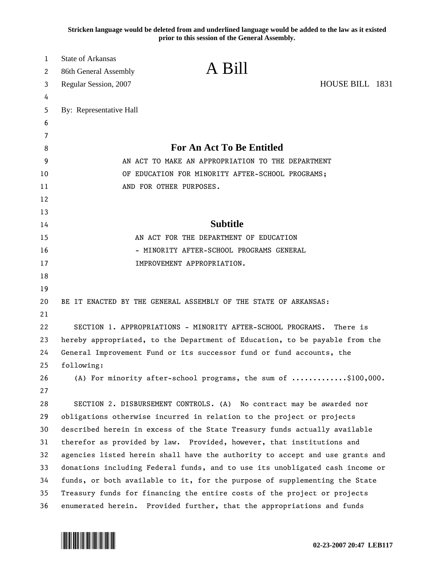**Stricken language would be deleted from and underlined language would be added to the law as it existed prior to this session of the General Assembly.**

| 1  | <b>State of Arkansas</b>                                                     |                                                                                        |                 |
|----|------------------------------------------------------------------------------|----------------------------------------------------------------------------------------|-----------------|
| 2  | 86th General Assembly                                                        | A Bill                                                                                 |                 |
| 3  | Regular Session, 2007                                                        |                                                                                        | HOUSE BILL 1831 |
| 4  |                                                                              |                                                                                        |                 |
| 5  | By: Representative Hall                                                      |                                                                                        |                 |
| 6  |                                                                              |                                                                                        |                 |
| 7  |                                                                              |                                                                                        |                 |
| 8  | <b>For An Act To Be Entitled</b>                                             |                                                                                        |                 |
| 9  | AN ACT TO MAKE AN APPROPRIATION TO THE DEPARTMENT                            |                                                                                        |                 |
| 10 | OF EDUCATION FOR MINORITY AFTER-SCHOOL PROGRAMS;                             |                                                                                        |                 |
| 11 | AND FOR OTHER PURPOSES.                                                      |                                                                                        |                 |
| 12 |                                                                              |                                                                                        |                 |
| 13 |                                                                              |                                                                                        |                 |
| 14 | <b>Subtitle</b>                                                              |                                                                                        |                 |
| 15 | AN ACT FOR THE DEPARTMENT OF EDUCATION                                       |                                                                                        |                 |
| 16 | - MINORITY AFTER-SCHOOL PROGRAMS GENERAL                                     |                                                                                        |                 |
| 17 |                                                                              | IMPROVEMENT APPROPRIATION.                                                             |                 |
| 18 |                                                                              |                                                                                        |                 |
| 19 |                                                                              |                                                                                        |                 |
| 20 |                                                                              | BE IT ENACTED BY THE GENERAL ASSEMBLY OF THE STATE OF ARKANSAS:                        |                 |
| 21 |                                                                              |                                                                                        |                 |
| 22 | SECTION 1. APPROPRIATIONS - MINORITY AFTER-SCHOOL PROGRAMS.<br>There is      |                                                                                        |                 |
| 23 | hereby appropriated, to the Department of Education, to be payable from the  |                                                                                        |                 |
| 24 | General Improvement Fund or its successor fund or fund accounts, the         |                                                                                        |                 |
| 25 | following:                                                                   |                                                                                        |                 |
| 26 |                                                                              | (A) For minority after-school programs, the sum of $\ldots \ldots \ldots$ , \$100,000. |                 |
| 27 |                                                                              |                                                                                        |                 |
| 28 |                                                                              | SECTION 2. DISBURSEMENT CONTROLS. (A) No contract may be awarded nor                   |                 |
| 29 | obligations otherwise incurred in relation to the project or projects        |                                                                                        |                 |
| 30 | described herein in excess of the State Treasury funds actually available    |                                                                                        |                 |
| 31 | therefor as provided by law. Provided, however, that institutions and        |                                                                                        |                 |
| 32 | agencies listed herein shall have the authority to accept and use grants and |                                                                                        |                 |
| 33 | donations including Federal funds, and to use its unobligated cash income or |                                                                                        |                 |
| 34 | funds, or both available to it, for the purpose of supplementing the State   |                                                                                        |                 |
| 35 | Treasury funds for financing the entire costs of the project or projects     |                                                                                        |                 |
| 36 | enumerated herein. Provided further, that the appropriations and funds       |                                                                                        |                 |